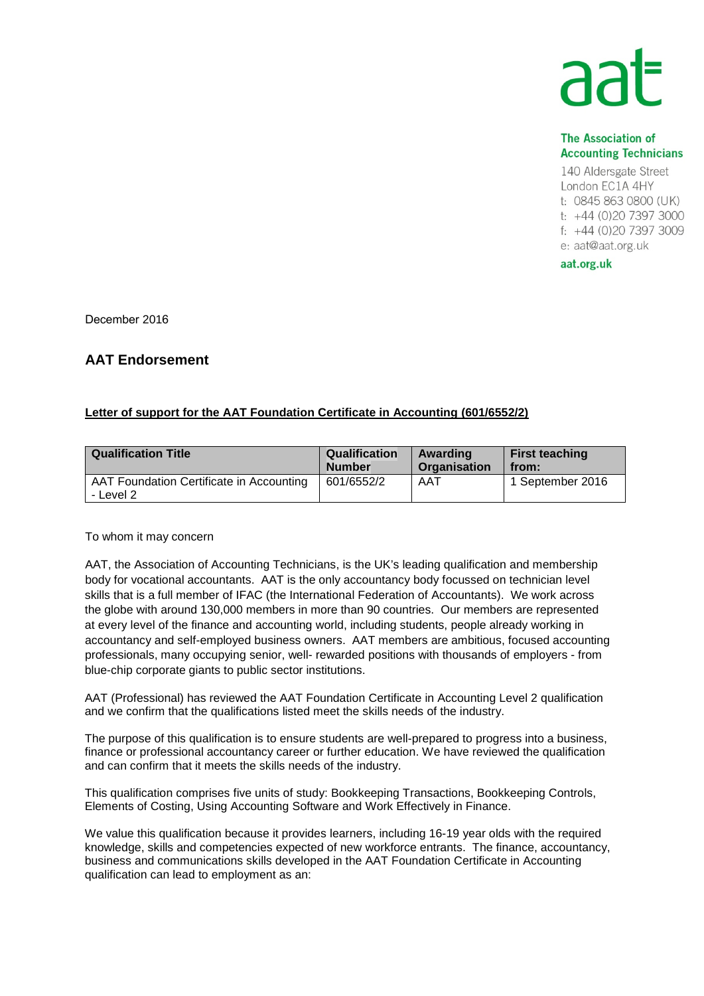## **The Association of Accounting Technicians**

140 Aldersgate Street London EC1A 4HY t: 0845 863 0800 (UK) t: +44 (0)20 7397 3000 f: +44 (0)20 7397 3009 e: aat@aat.org.uk

aat.org.uk

December 2016

## **AAT Endorsement**

## **Letter of support for the AAT Foundation Certificate in Accounting (601/6552/2)**

| <b>Qualification Title</b>                            | <b>Qualification</b> | Awarding     | <b>First teaching</b> |
|-------------------------------------------------------|----------------------|--------------|-----------------------|
|                                                       | <b>Number</b>        | Organisation | from:                 |
| AAT Foundation Certificate in Accounting<br>- Level 2 | 601/6552/2           | AAT          | 1 September 2016      |

To whom it may concern

AAT, the Association of Accounting Technicians, is the UK's leading qualification and membership body for vocational accountants. AAT is the only accountancy body focussed on technician level skills that is a full member of IFAC (the International Federation of Accountants). We work across the globe with around 130,000 members in more than 90 countries. Our members are represented at every level of the finance and accounting world, including students, people already working in accountancy and self-employed business owners. AAT members are ambitious, focused accounting professionals, many occupying senior, well- rewarded positions with thousands of employers - from blue-chip corporate giants to public sector institutions.

AAT (Professional) has reviewed the AAT Foundation Certificate in Accounting Level 2 qualification and we confirm that the qualifications listed meet the skills needs of the industry.

The purpose of this qualification is to ensure students are well-prepared to progress into a business, finance or professional accountancy career or further education. We have reviewed the qualification and can confirm that it meets the skills needs of the industry.

This qualification comprises five units of study: Bookkeeping Transactions, Bookkeeping Controls, Elements of Costing, Using Accounting Software and Work Effectively in Finance.

We value this qualification because it provides learners, including 16-19 year olds with the required knowledge, skills and competencies expected of new workforce entrants. The finance, accountancy, business and communications skills developed in the AAT Foundation Certificate in Accounting qualification can lead to employment as an: